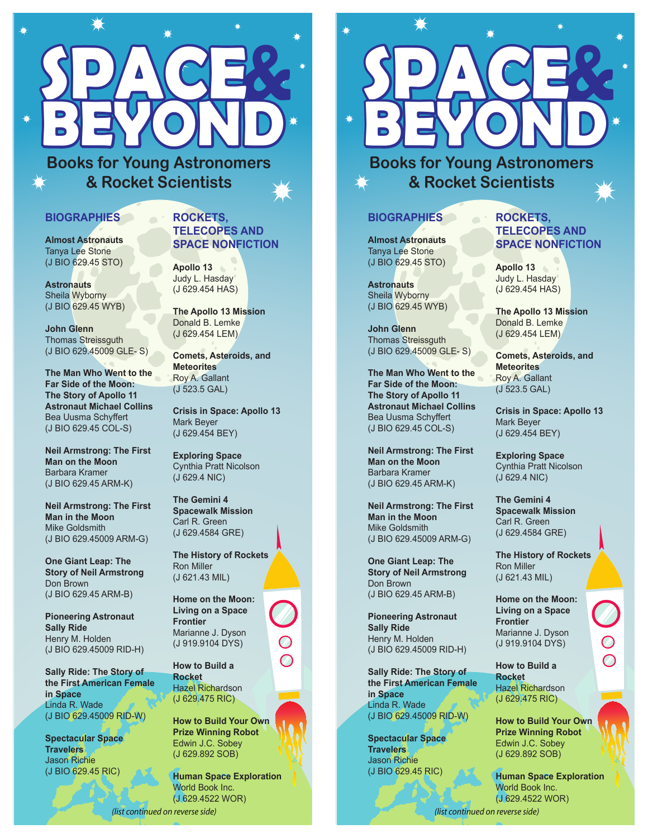

**Books for Young Astronomers & Rocket Scientists**

## **BIOGRAPHIES**

**Almost Astronauts**  Tanya Lee Stone (J BIO 629.45 STO)

**Astronauts**  Sheila Wyborny (J BIO 629.45 WYB)

**John Glenn**  Thomas Streissguth (J BIO 629.45009 GLE- S)

**The Man Who Went to the Far Side of the Moon: The Story of Apollo 11 Astronaut Michael Collins** Bea Uusma Schyffert (J BIO 629.45 COL-S)

**Neil Armstrong: The First Man on the Moon** Barbara Kramer (J BIO 629.45 ARM-K)

**Neil Armstrong: The First Man in the Moon** Mike Goldsmith (J BIO 629.45009 ARM-G)

**One Giant Leap: The Story of Neil Armstrong**  Don Brown (J BIO 629.45 ARM-B)

**Pioneering Astronaut Sally Ride**  Henry M. Holden (J BIO 629.45009 RID-H)

**Sally Ride: The Story of the First American Female in Space**  Linda R. Wade (J BIO 629.45009 RID-W)

**Spectacular Space Travelers**  Jason Richie (J BIO 629.45 RIC)

## **ROCKETS, TELECOPES AND SPACE NONFICTION**

**Apollo 13** Judy L. Hasday (J 629.454 HAS)

**The Apollo 13 Mission**  Donald B. Lemke (J 629.454 LEM)

**Comets, Asteroids, and Meteorites** Roy A. Gallant (J 523.5 GAL)

**Crisis in Space: Apollo 13** Mark Beyer (J 629.454 BEY)

**Exploring Space** Cynthia Pratt Nicolson (J 629.4 NIC)

**The Gemini 4 Spacewalk Mission** Carl R. Green (J 629.4584 GRE)

**The History of Rockets** Ron Miller (J 621.43 MIL)

**Home on the Moon: Living on a Space Frontier**  Marianne J. Dyson (J 919.9104 DYS)

**How to Build a Rocket**  Hazel Richardson (J 629.475 RIC)

**How to Build Your Own Prize Winning Robot** Edwin J.C. Sobey (J 629.892 SOB)

**Human Space Exploration**  World Book Inc. (J 629.4522 WOR)

*(list continued on reverse side)*